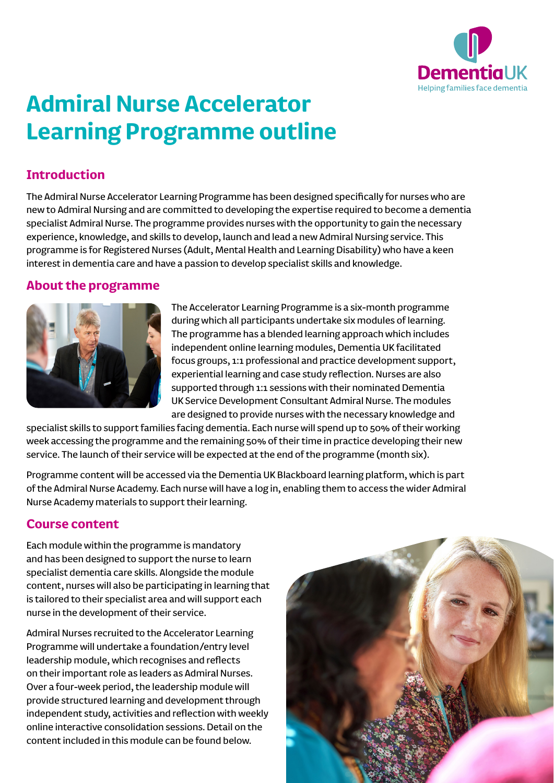

# **Admiral Nurse Accelerator Learning Programme outline**

#### **Introduction**

The Admiral Nurse Accelerator Learning Programme has been designed specifically for nurses who are new to Admiral Nursing and are committed to developing the expertise required to become a dementia specialist Admiral Nurse. The programme provides nurses with the opportunity to gain the necessary experience, knowledge, and skills to develop, launch and lead a new Admiral Nursing service. This programme is for Registered Nurses (Adult, Mental Health and Learning Disability) who have a keen interest in dementia care and have a passion to develop specialist skills and knowledge.

#### **About the programme**



The Accelerator Learning Programme is a six-month programme during which all participants undertake six modules of learning. The programme has a blended learning approach which includes independent online learning modules, Dementia UK facilitated focus groups, 1:1 professional and practice development support, experiential learning and case study reflection. Nurses are also supported through 1:1 sessions with their nominated Dementia UK Service Development Consultant Admiral Nurse. The modules are designed to provide nurses with the necessary knowledge and

specialist skills to support families facing dementia. Each nurse will spend up to 50% of their working week accessing the programme and the remaining 50% of their time in practice developing their new service. The launch of their service will be expected at the end of the programme (month six).

Programme content will be accessed via the Dementia UK Blackboard learning platform, which is part of the Admiral Nurse Academy. Each nurse will have a log in, enabling them to access the wider Admiral Nurse Academy materials to support their learning.

#### **Course content**

Each module within the programme is mandatory and has been designed to support the nurse to learn specialist dementia care skills. Alongside the module content, nurses will also be participating in learning that is tailored to their specialist area and will support each nurse in the development of their service.

Admiral Nurses recruited to the Accelerator Learning Programme will undertake a foundation/entry level leadership module, which recognises and reflects on their important role as leaders as Admiral Nurses. Over a four-week period, the leadership module will provide structured learning and development through independent study, activities and reflection with weekly online interactive consolidation sessions. Detail on the content included in this module can be found below.

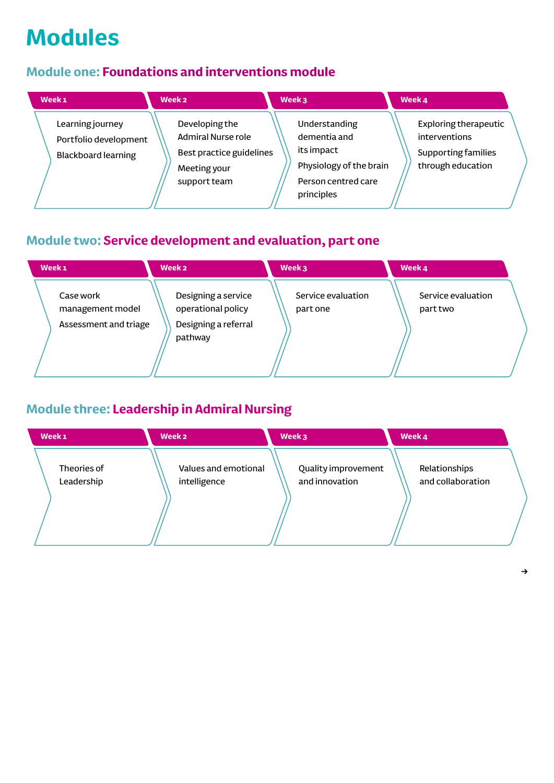# **Modules**

## **Module one: Foundations and interventions module**

| Week <sub>1</sub>                                                       | Week <sub>2</sub>                                                                                       | Week 3                                                                                                      | Week 4                                                                             |
|-------------------------------------------------------------------------|---------------------------------------------------------------------------------------------------------|-------------------------------------------------------------------------------------------------------------|------------------------------------------------------------------------------------|
| Learning journey<br>Portfolio development<br><b>Blackboard learning</b> | Developing the<br><b>Admiral Nurse role</b><br>Best practice guidelines<br>Meeting your<br>support team | Understanding<br>dementia and<br>its impact<br>Physiology of the brain<br>Person centred care<br>principles | Exploring therapeutic<br>interventions<br>Supporting families<br>through education |

# **Module two: Service development and evaluation, part one**

| Week <sub>1</sub>                                      | Week 2                                                                       | Week 3                         | Week 4                         |
|--------------------------------------------------------|------------------------------------------------------------------------------|--------------------------------|--------------------------------|
| Case work<br>management model<br>Assessment and triage | Designing a service<br>operational policy<br>Designing a referral<br>pathway | Service evaluation<br>part one | Service evaluation<br>part two |

# **Module three: Leadership in Admiral Nursing**

| Week <sub>1</sub>         | Week 2                               | Week 3                                | Week 4                             |
|---------------------------|--------------------------------------|---------------------------------------|------------------------------------|
| Theories of<br>Leadership | Values and emotional<br>intelligence | Quality improvement<br>and innovation | Relationships<br>and collaboration |
|                           |                                      |                                       |                                    |

 $\rightarrow$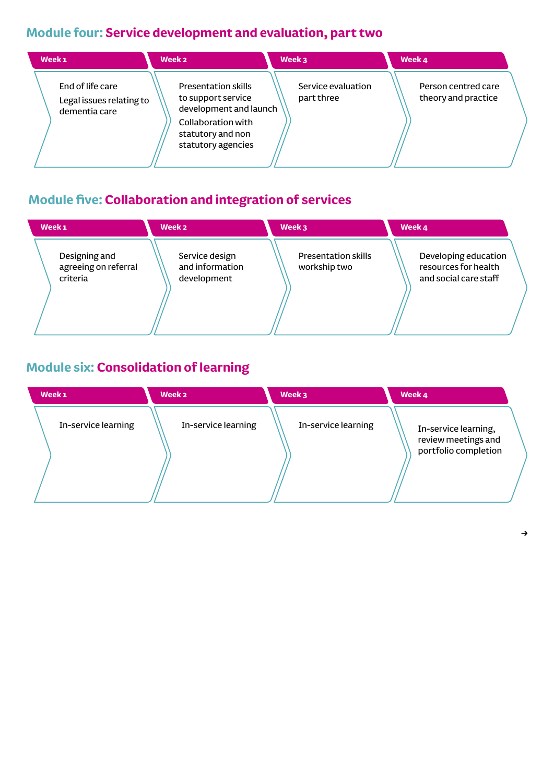# **Module four: Service development and evaluation, part two**

| Week <sub>1</sub>                                             | Week <sub>2</sub>                                                                                                                           | Week 3                           | Week 4                                     |  |
|---------------------------------------------------------------|---------------------------------------------------------------------------------------------------------------------------------------------|----------------------------------|--------------------------------------------|--|
| End of life care<br>Legal issues relating to<br>dementia care | <b>Presentation skills</b><br>to support service<br>development and launch<br>Collaboration with<br>statutory and non<br>statutory agencies | Service evaluation<br>part three | Person centred care<br>theory and practice |  |

# **Module five: Collaboration and integration of services**

| Week <sub>1</sub>                                 | Week 2                                           | Week 3                                     | Week 4                                                                |
|---------------------------------------------------|--------------------------------------------------|--------------------------------------------|-----------------------------------------------------------------------|
| Designing and<br>agreeing on referral<br>criteria | Service design<br>and information<br>development | <b>Presentation skills</b><br>workship two | Developing education<br>resources for health<br>and social care staff |
|                                                   |                                                  |                                            |                                                                       |

# **Module six: Consolidation of learning**

| Week <sub>1</sub>   | Week <sub>2</sub>   | Week 3              | Week 4                                                              |
|---------------------|---------------------|---------------------|---------------------------------------------------------------------|
| In-service learning | In-service learning | In-service learning | In-service learning,<br>review meetings and<br>portfolio completion |
|                     |                     |                     |                                                                     |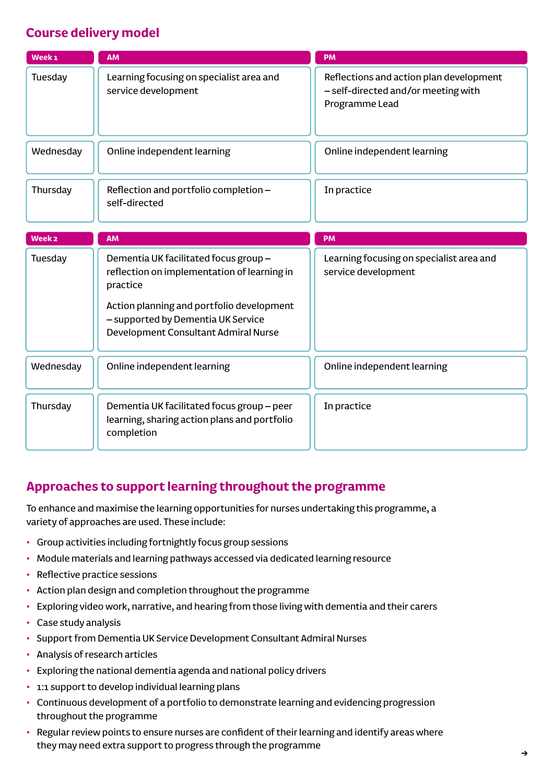### **Course delivery model**

| Week <sub>1</sub> | <b>AM</b>                                                                                                                                                                                                                  | <b>PM</b>                                                                                        |
|-------------------|----------------------------------------------------------------------------------------------------------------------------------------------------------------------------------------------------------------------------|--------------------------------------------------------------------------------------------------|
| Tuesday           | Learning focusing on specialist area and<br>service development                                                                                                                                                            | Reflections and action plan development<br>- self-directed and/or meeting with<br>Programme Lead |
| Wednesday         | Online independent learning                                                                                                                                                                                                | Online independent learning                                                                      |
| Thursday          | Reflection and portfolio completion -<br>self-directed                                                                                                                                                                     | In practice                                                                                      |
| Week <sub>2</sub> | <b>AM</b>                                                                                                                                                                                                                  | <b>PM</b>                                                                                        |
| Tuesday           | Dementia UK facilitated focus group-<br>reflection on implementation of learning in<br>practice<br>Action planning and portfolio development<br>- supported by Dementia UK Service<br>Development Consultant Admiral Nurse | Learning focusing on specialist area and<br>service development                                  |
| Wednesday         | Online independent learning                                                                                                                                                                                                | Online independent learning                                                                      |
| Thursday          | Dementia UK facilitated focus group - peer<br>learning, sharing action plans and portfolio<br>completion                                                                                                                   | In practice                                                                                      |

#### **Approaches to support learning throughout the programme**

To enhance and maximise the learning opportunities for nurses undertaking this programme, a variety of approaches are used. These include:

- Group activities including fortnightly focus group sessions
- Module materials and learning pathways accessed via dedicated learning resource
- Reflective practice sessions
- Action plan design and completion throughout the programme
- Exploring video work, narrative, and hearing from those living with dementia and their carers
- Case study analysis
- Support from Dementia UK Service Development Consultant Admiral Nurses
- Analysis of research articles
- Exploring the national dementia agenda and national policy drivers
- 1:1 support to develop individual learning plans
- Continuous development of a portfolio to demonstrate learning and evidencing progression throughout the programme
- Regular review points to ensure nurses are confident of their learning and identify areas where they may need extra support to progress through the programme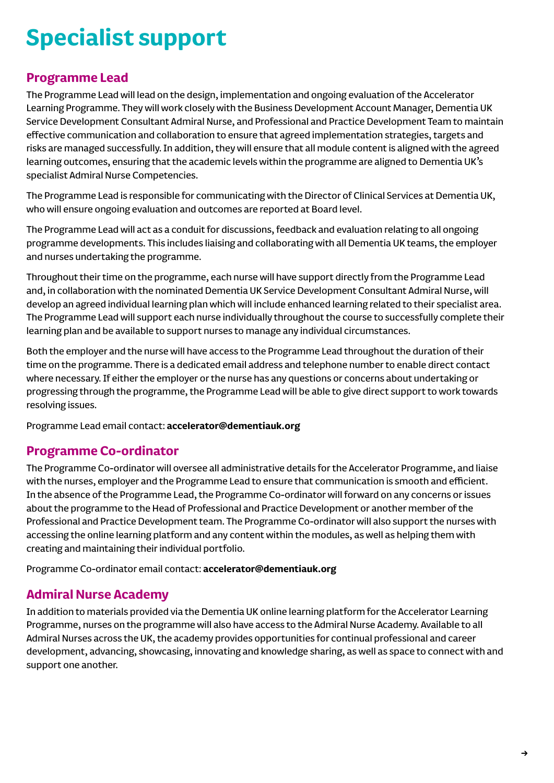# **Specialist support**

#### **Programme Lead**

The Programme Lead will lead on the design, implementation and ongoing evaluation of the Accelerator Learning Programme. They will work closely with the Business Development Account Manager, Dementia UK Service Development Consultant Admiral Nurse, and Professional and Practice Development Team to maintain effective communication and collaboration to ensure that agreed implementation strategies, targets and risks are managed successfully. In addition, they will ensure that all module content is aligned with the agreed learning outcomes, ensuring that the academic levels within the programme are aligned to Dementia UK's specialist Admiral Nurse Competencies.

The Programme Lead is responsible for communicating with the Director of Clinical Services at Dementia UK, who will ensure ongoing evaluation and outcomes are reported at Board level.

The Programme Lead will act as a conduit for discussions, feedback and evaluation relating to all ongoing programme developments. This includes liaising and collaborating with all Dementia UK teams, the employer and nurses undertaking the programme.

Throughout their time on the programme, each nurse will have support directly from the Programme Lead and, in collaboration with the nominated Dementia UK Service Development Consultant Admiral Nurse, will develop an agreed individual learning plan which will include enhanced learning related to their specialist area. The Programme Lead will support each nurse individually throughout the course to successfully complete their learning plan and be available to support nurses to manage any individual circumstances.

Both the employer and the nurse will have access to the Programme Lead throughout the duration of their time on the programme. There is a dedicated email address and telephone number to enable direct contact where necessary. If either the employer or the nurse has any questions or concerns about undertaking or progressing through the programme, the Programme Lead will be able to give direct support to work towards resolving issues.

Programme Lead email contact: **[accelerator@dementiauk.org](mailto:accelerator@dementiauk.org)**

#### **Programme Co-ordinator**

The Programme Co-ordinator will oversee all administrative details for the Accelerator Programme, and liaise with the nurses, employer and the Programme Lead to ensure that communication is smooth and efficient. In the absence of the Programme Lead, the Programme Co-ordinator will forward on any concerns or issues about the programme to the Head of Professional and Practice Development or another member of the Professional and Practice Development team. The Programme Co-ordinator will also support the nurses with accessing the online learning platform and any content within the modules, as well as helping them with creating and maintaining their individual portfolio.

Programme Co-ordinator email contact: **[accelerator@dementiauk.org](mailto:accelerator@dementiauk.org)**

#### **Admiral Nurse Academy**

In addition to materials provided via the Dementia UK online learning platform for the Accelerator Learning Programme, nurses on the programme will also have access to the Admiral Nurse Academy. Available to all Admiral Nurses across the UK, the academy provides opportunities for continual professional and career development, advancing, showcasing, innovating and knowledge sharing, as well as space to connect with and support one another.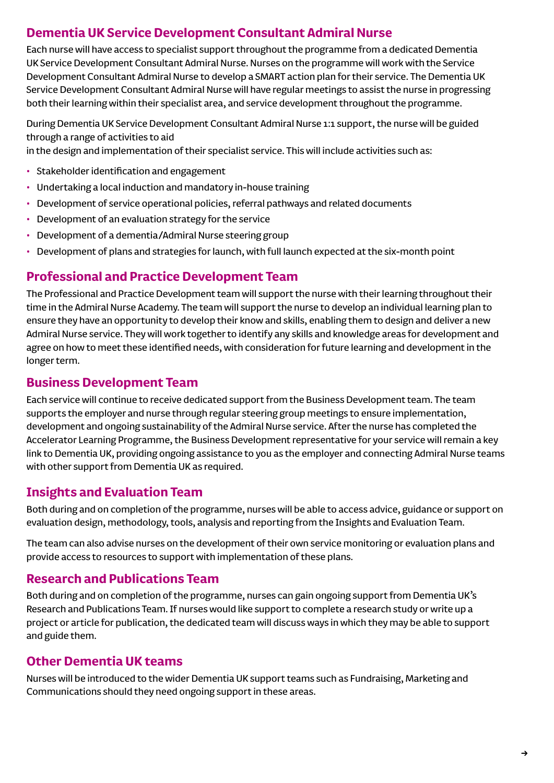#### **Dementia UK Service Development Consultant Admiral Nurse**

Each nurse will have access to specialist support throughout the programme from a dedicated Dementia UK Service Development Consultant Admiral Nurse. Nurses on the programme will work with the Service Development Consultant Admiral Nurse to develop a SMART action plan for their service. The Dementia UK Service Development Consultant Admiral Nurse will have regular meetings to assist the nurse in progressing both their learning within their specialist area, and service development throughout the programme.

During Dementia UK Service Development Consultant Admiral Nurse 1:1 support, the nurse will be guided through a range of activities to aid

in the design and implementation of their specialist service. This will include activities such as:

- Stakeholder identification and engagement
- Undertaking a local induction and mandatory in-house training
- Development of service operational policies, referral pathways and related documents
- Development of an evaluation strategy for the service
- Development of a dementia/Admiral Nurse steering group
- Development of plans and strategies for launch, with full launch expected at the six-month point

#### **Professional and Practice Development Team**

The Professional and Practice Development team will support the nurse with their learning throughout their time in the Admiral Nurse Academy. The team will support the nurse to develop an individual learning plan to ensure they have an opportunity to develop their know and skills, enabling them to design and deliver a new Admiral Nurse service. They will work together to identify any skills and knowledge areas for development and agree on how to meet these identified needs, with consideration for future learning and development in the longer term.

#### **Business Development Team**

Each service will continue to receive dedicated support from the Business Development team. The team supports the employer and nurse through regular steering group meetings to ensure implementation, development and ongoing sustainability of the Admiral Nurse service. After the nurse has completed the Accelerator Learning Programme, the Business Development representative for your service will remain a key link to Dementia UK, providing ongoing assistance to you as the employer and connecting Admiral Nurse teams with other support from Dementia UK as required.

#### **Insights and Evaluation Team**

Both during and on completion of the programme, nurses will be able to access advice, guidance or support on evaluation design, methodology, tools, analysis and reporting from the Insights and Evaluation Team.

The team can also advise nurses on the development of their own service monitoring or evaluation plans and provide access to resources to support with implementation of these plans.

#### **Research and Publications Team**

Both during and on completion of the programme, nurses can gain ongoing support from Dementia UK's Research and Publications Team. If nurses would like support to complete a research study or write up a project or article for publication, the dedicated team will discuss ways in which they may be able to support and guide them.

#### **Other Dementia UK teams**

Nurses will be introduced to the wider Dementia UK support teams such as Fundraising, Marketing and Communications should they need ongoing support in these areas.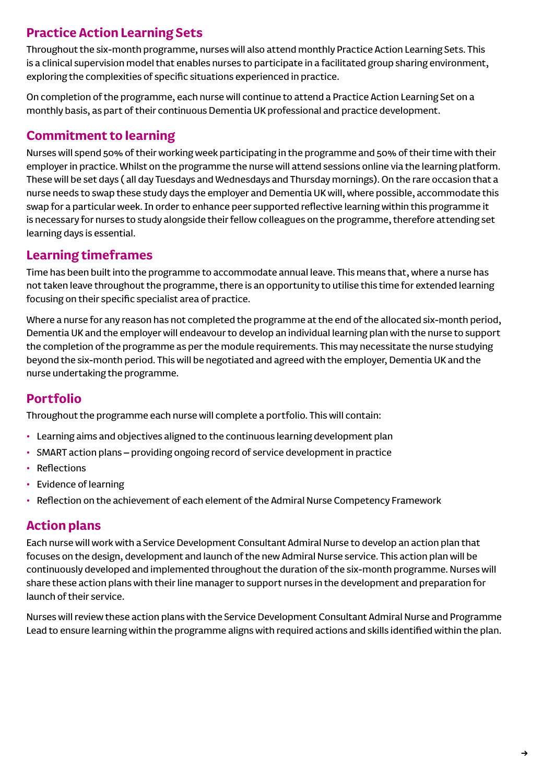## **Practice Action Learning Sets**

Throughout the six-month programme, nurses will also attend monthly Practice Action Learning Sets. This is a clinical supervision model that enables nurses to participate in a facilitated group sharing environment, exploring the complexities of specific situations experienced in practice.

On completion of the programme, each nurse will continue to attend a Practice Action Learning Set on a monthly basis, as part of their continuous Dementia UK professional and practice development.

### **Commitment to learning**

Nurses will spend 50% of their working week participating in the programme and 50% of their time with their employer in practice. Whilst on the programme the nurse will attend sessions online via the learning platform. These will be set days ( all day Tuesdays and Wednesdays and Thursday mornings). On the rare occasion that a nurse needs to swap these study days the employer and Dementia UK will, where possible, accommodate this swap for a particular week. In order to enhance peer supported reflective learning within this programme it is necessary for nurses to study alongside their fellow colleagues on the programme, therefore attending set learning days is essential.

#### **Learning timeframes**

Time has been built into the programme to accommodate annual leave. This means that, where a nurse has not taken leave throughout the programme, there is an opportunity to utilise this time for extended learning focusing on their specific specialist area of practice.

Where a nurse for any reason has not completed the programme at the end of the allocated six-month period, Dementia UK and the employer will endeavour to develop an individual learning plan with the nurse to support the completion of the programme as per the module requirements. This may necessitate the nurse studying beyond the six-month period. This will be negotiated and agreed with the employer, Dementia UK and the nurse undertaking the programme.

#### **Portfolio**

Throughout the programme each nurse will complete a portfolio. This will contain:

- Learning aims and objectives aligned to the continuous learning development plan
- SMART action plans providing ongoing record of service development in practice
- Reflections
- Evidence of learning
- Reflection on the achievement of each element of the Admiral Nurse Competency Framework

#### **Action plans**

Each nurse will work with a Service Development Consultant Admiral Nurse to develop an action plan that focuses on the design, development and launch of the new Admiral Nurse service. This action plan will be continuously developed and implemented throughout the duration of the six-month programme. Nurses will share these action plans with their line manager to support nurses in the development and preparation for launch of their service.

Nurses will review these action plans with the Service Development Consultant Admiral Nurse and Programme Lead to ensure learning within the programme aligns with required actions and skills identified within the plan.